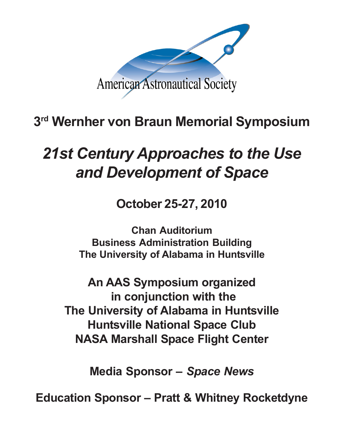

## **3rd Wernher von Braun Memorial Symposium**

# *21st Century Approaches to the Use and Development of Space*

**October 25-27, 2010**

**Chan Auditorium Business Administration Building The University of Alabama in Huntsville**

**An AAS Symposium organized in conjunction with the The University of Alabama in Huntsville Huntsville National Space Club NASA Marshall Space Flight Center**

**Media Sponsor –** *Space News*

**Education Sponsor – Pratt & Whitney Rocketdyne**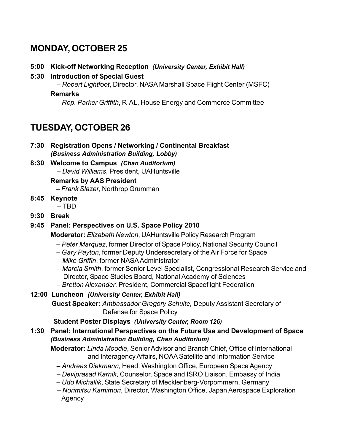## **MONDAY, OCTOBER 25**

- **5:00 Kick-off Networking Reception** *(University Center, Exhibit Hall)*
- **5:30 Introduction of Special Guest**

– *Robert Lightfoot*, Director, NASA Marshall Space Flight Center (MSFC)

#### **Remarks**

– *Rep. Parker Griffith*, R-AL, House Energy and Commerce Committee

## **TUESDAY, OCTOBER 26**

- **7:30 Registration Opens / Networking / Continental Breakfast** *(Business Administration Building, Lobby)*
- **8:30 Welcome to Campus** *(Chan Auditorium)* – *David Williams*, President, UAHuntsville

#### **Remarks by AAS President**

– *Frank Slazer*, Northrop Grumman

- **8:45 Keynote** – TBD
	-
- **9:30 Break**

#### **9:45 Panel: Perspectives on U.S. Space Policy 2010**

**Moderator:** *Elizabeth Newton*, UAHuntsville Policy Research Program

- *Peter Marquez*, former Director of Space Policy, National Security Council
- *Gary Payton*, former Deputy Undersecretary of the Air Force for Space
- *Mike Griffin*, former NASA Administrator
- *Marcia Smith*, former Senior Level Specialist, Congressional Research Service and Director, Space Studies Board, National Academy of Sciences
- *Bretton Alexander*, President, Commercial Spaceflight Federation

#### **12:00 Luncheon** *(University Center, Exhibit Hall)*

 **Guest Speaker:** *Ambassador Gregory Schulte,* Deputy Assistant Secretary of Defense for Space Policy

#### **Student Poster Displays** *(University Center, Room 126)*

**1:30 Panel: International Perspectives on the Future Use and Development of Space** *(Business Administration Building, Chan Auditorium)*

**Moderator:** *Linda Moodie*, Senior Advisor and Branch Chief, Office of International and Interagency Affairs, NOAA Satellite and Information Service

- *Andreas Diekmann*, Head, Washington Office, European Space Agency
- *Deviprasad Karnik*, Counselor, Space and ISRO Liaison, Embassy of India
- *Udo Michallik*, State Secretary of Mecklenberg-Vorpommern, Germany
- *Norimitsu Kamimori*, Director, Washington Office, Japan Aerospace Exploration Agency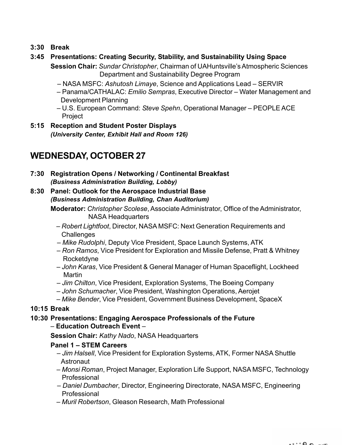**3:30 Break**

#### **3:45 Presentations: Creating Security, Stability, and Sustainability Using Space**

**Session Chair:** *Sundar Christopher*, Chairman of UAHuntsville's Atmospheric Sciences Department and Sustainability Degree Program

- NASA MSFC: *Ashutosh Limaye*, Science and Applications Lead SERVIR
- Panama/CATHALAC: *Emilio Sempras*, Executive Director Water Management and Development Planning
- U.S. European Command: *Steve Spehn*, Operational Manager PEOPLE ACE Project
- **5:15 Reception and Student Poster Displays** *(University Center, Exhibit Hall and Room 126)*

### **WEDNESDAY, OCTOBER 27**

**7:30 Registration Opens / Networking / Continental Breakfast** *(Business Administration Building, Lobby)*

#### **8:30 Panel: Outlook for the Aerospace Industrial Base** *(Business Administration Building, Chan Auditorium)*

**Moderator:** *Christopher Scolese*, Associate Administrator, Office of the Administrator, NASA Headquarters

- *Robert Lightfoot*, Director, NASA MSFC: Next Generation Requirements and **Challenges**
- *Mike Rudolphi*, Deputy Vice President, Space Launch Systems, ATK
- *Ron Ramos*, Vice President for Exploration and Missile Defense, Pratt & Whitney Rocketdyne
- *John Karas*, Vice President & General Manager of Human Spaceflight, Lockheed **Martin**
- *Jim Chilton*, Vice President, Exploration Systems, The Boeing Company
- *John Schumacher*, Vice President, Washington Operations, Aerojet
- *Mike Bender*, Vice President, Government Business Development, SpaceX

#### **10:15 Break**

#### **10:30 Presentations: Engaging Aerospace Professionals of the Future** – **Education Outreach Event** –

**Session Chair:** *Kathy Nado*, NASA Headquarters

#### **Panel 1 – STEM Careers**

- – *Jim Halsell*, Vice President for Exploration Systems, ATK, Former NASA Shuttle **Astronaut**
- *Monsi Roman*, Project Manager, Exploration Life Support, NASA MSFC, Technology Professional
- *Daniel Dumbacher*, Director, Engineering Directorate, NASA MSFC, Engineering Professional
- *Muril Robertson*, Gleason Research, Math Professional